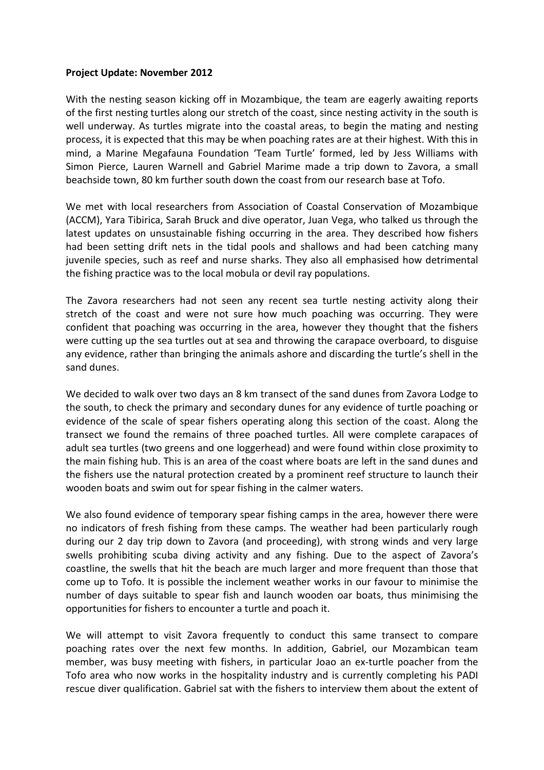## **Project Update: November 2012**

With the nesting season kicking off in Mozambique, the team are eagerly awaiting reports of the first nesting turtles along our stretch of the coast, since nesting activity in the south is well underway. As turtles migrate into the coastal areas, to begin the mating and nesting process, it is expected that this may be when poaching rates are at their highest. With this in mind, a Marine Megafauna Foundation 'Team Turtle' formed, led by Jess Williams with Simon Pierce, Lauren Warnell and Gabriel Marime made a trip down to Zavora, a small beachside town, 80 km further south down the coast from our research base at Tofo.

We met with local researchers from Association of Coastal Conservation of Mozambique (ACCM), Yara Tibirica, Sarah Bruck and dive operator, Juan Vega, who talked us through the latest updates on unsustainable fishing occurring in the area. They described how fishers had been setting drift nets in the tidal pools and shallows and had been catching many juvenile species, such as reef and nurse sharks. They also all emphasised how detrimental the fishing practice was to the local mobula or devil ray populations.

The Zavora researchers had not seen any recent sea turtle nesting activity along their stretch of the coast and were not sure how much poaching was occurring. They were confident that poaching was occurring in the area, however they thought that the fishers were cutting up the sea turtles out at sea and throwing the carapace overboard, to disguise any evidence, rather than bringing the animals ashore and discarding the turtle's shell in the sand dunes.

We decided to walk over two days an 8 km transect of the sand dunes from Zavora Lodge to the south, to check the primary and secondary dunes for any evidence of turtle poaching or evidence of the scale of spear fishers operating along this section of the coast. Along the transect we found the remains of three poached turtles. All were complete carapaces of adult sea turtles (two greens and one loggerhead) and were found within close proximity to the main fishing hub. This is an area of the coast where boats are left in the sand dunes and the fishers use the natural protection created by a prominent reef structure to launch their wooden boats and swim out for spear fishing in the calmer waters.

We also found evidence of temporary spear fishing camps in the area, however there were no indicators of fresh fishing from these camps. The weather had been particularly rough during our 2 day trip down to Zavora (and proceeding), with strong winds and very large swells prohibiting scuba diving activity and any fishing. Due to the aspect of Zavora's coastline, the swells that hit the beach are much larger and more frequent than those that come up to Tofo. It is possible the inclement weather works in our favour to minimise the number of days suitable to spear fish and launch wooden oar boats, thus minimising the opportunities for fishers to encounter a turtle and poach it.

We will attempt to visit Zavora frequently to conduct this same transect to compare poaching rates over the next few months. In addition, Gabriel, our Mozambican team member, was busy meeting with fishers, in particular Joao an ex-turtle poacher from the Tofo area who now works in the hospitality industry and is currently completing his PADI rescue diver qualification. Gabriel sat with the fishers to interview them about the extent of